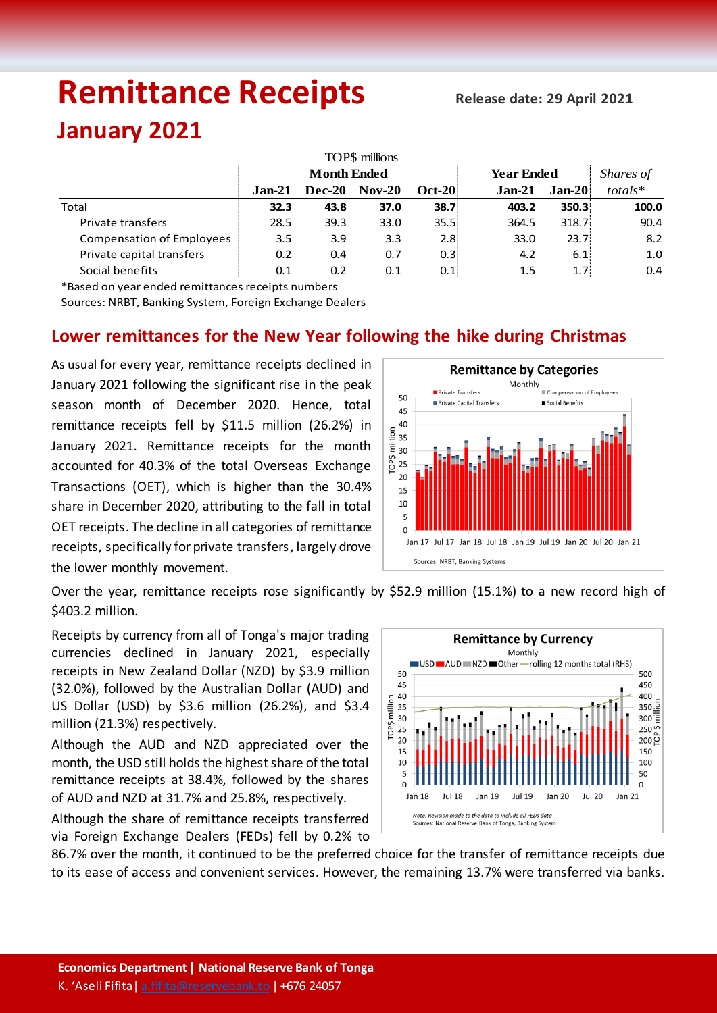# **Remittance Receipts Release date: 29 April <sup>2021</sup>**

# **January 2021**

| TOP\$ millions                   |                    |               |          |               |                   |                    |           |  |  |  |  |  |
|----------------------------------|--------------------|---------------|----------|---------------|-------------------|--------------------|-----------|--|--|--|--|--|
|                                  | <b>Month Ended</b> |               |          |               | <b>Year Ended</b> |                    | Shares of |  |  |  |  |  |
|                                  | $Jan-21$           | <b>Dec-20</b> | $Nov-20$ | <b>Oct-20</b> | $Jan-21$          | <b>Jan-20</b>      | $totals*$ |  |  |  |  |  |
| Total                            | 32.3               | 43.8          | 37.0     | 38.7          | 403.2             | 350.3 <sup>1</sup> | 100.0     |  |  |  |  |  |
| Private transfers                | 28.5               | 39.3          | 33.0     | 35.5%         | 364.5             | 318.7              | 90.4      |  |  |  |  |  |
| <b>Compensation of Employees</b> | 3.5                | 3.9           | 3.3      | 2.8           | 33.0              | 23.7 <sup>2</sup>  | 8.2       |  |  |  |  |  |
| Private capital transfers        | 0.2                | 0.4           | 0.7      | 0.3           | 4.2               | 6.1                | 1.0       |  |  |  |  |  |
| Social benefits                  | 0.1                | 0.2           | 0.1      | 0.1           | 1.5               | 1.7 <sup>1</sup>   | 0.4       |  |  |  |  |  |

\*Based on year ended remittances receipts numbers

Sources: NRBT, Banking System, Foreign Exchange Dealers

## **Lower remittances for the New Year following the hike during Christmas**

As usual for every year, remittance receipts declined in January 2021 following the significant rise in the peak season month of December 2020. Hence, total remittance receipts fell by \$11.5 million (26.2%) in January 2021. Remittance receipts for the month accounted for 40.3% of the total Overseas Exchange Transactions (OET), which is higher than the 30.4% share in December 2020, attributing to the fall in total OET receipts. The decline in all categories of remittance receipts, specifically for private transfers, largely drove the lower monthly movement.



Over the year, remittance receipts rose significantly by \$52.9 million (15.1%) to a new record high of \$403.2 million.

Receipts by currency from all of Tonga's major trading currencies declined in January 2021, especially receipts in New Zealand Dollar (NZD) by \$3.9 million (32.0%), followed by the Australian Dollar (AUD) and US Dollar (USD) by \$3.6 million (26.2%), and \$3.4 million (21.3%) respectively.

Although the AUD and NZD appreciated over the month, the USD still holds the highest share of the total remittance receipts at 38.4%, followed by the shares of AUD and NZD at 31.7% and 25.8%, respectively.

Although the share of remittance receipts transferred via Foreign Exchange Dealers (FEDs) fell by 0.2% to



86.7% over the month, it continued to be the preferred choice for the transfer of remittance receipts due to its ease of access and convenient services. However, the remaining 13.7% were transferred via banks.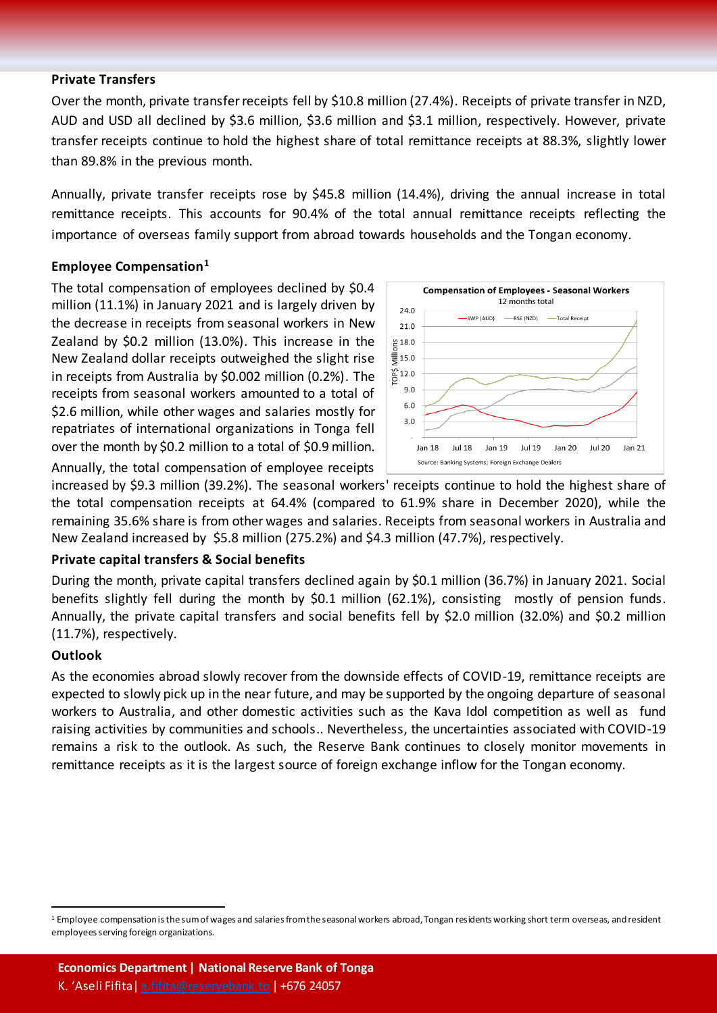#### **Private Transfers**

Over the month, private transfer receipts fell by \$10.8 million (27.4%). Receipts of private transfer in NZD, AUD and USD all declined by \$3.6 million, \$3.6 million and \$3.1 million, respectively. However, private transfer receipts continue to hold the highest share of total remittance receipts at 88.3%, slightly lower than 89.8% in the previous month.

Annually, private transfer receipts rose by \$45.8 million (14.4%), driving the annual increase in total remittance receipts. This accounts for 90.4% of the total annual remittance receipts reflecting the importance of overseas family support from abroad towards households and the Tongan economy.

#### **Employee Compensation<sup>1</sup>**

The total compensation of employees declined by \$0.4 million (11.1%) in January 2021 and is largely driven by the decrease in receipts from seasonal workers in New Zealand by \$0.2 million (13.0%). This increase in the New Zealand dollar receipts outweighed the slight rise in receipts from Australia by \$0.002 million (0.2%). The receipts from seasonal workers amounted to a total of \$2.6 million, while other wages and salaries mostly for repatriates of international organizations in Tonga fell over the month by \$0.2 million to a total of \$0.9 million.





increased by \$9.3 million (39.2%). The seasonal workers' receipts continue to hold the highest share of the total compensation receipts at 64.4% (compared to 61.9% share in December 2020), while the remaining 35.6% share is from other wages and salaries. Receipts from seasonal workers in Australia and New Zealand increased by \$5.8 million (275.2%) and \$4.3 million (47.7%), respectively.

#### **Private capital transfers & Social benefits**

During the month, private capital transfers declined again by \$0.1 million (36.7%) in January 2021. Social benefits slightly fell during the month by \$0.1 million (62.1%), consisting mostly of pension funds. Annually, the private capital transfers and social benefits fell by \$2.0 million (32.0%) and \$0.2 million (11.7%), respectively.

#### **Outlook**

 $\overline{a}$ 

As the economies abroad slowly recover from the downside effects of COVID-19, remittance receipts are expected to slowly pick up in the near future, and may be supported by the ongoing departure of seasonal workers to Australia, and other domestic activities such as the Kava Idol competition as well as fund raising activities by communities and schools.. Nevertheless, the uncertainties associated with COVID-19 remains a risk to the outlook. As such, the Reserve Bank continues to closely monitor movements in remittance receipts as it is the largest source of foreign exchange inflow for the Tongan economy.

<sup>&</sup>lt;sup>1</sup> Employee compensation is the sum of wages and salaries from the seasonal workers abroad, Tongan residents working short term overseas, and resident employees serving foreign organizations.